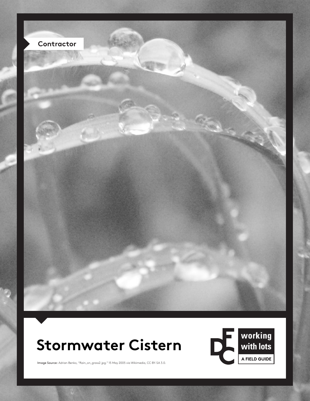

## **Stormwater Cistern**



Image Source: Adrian Benko, "Rain\_on\_grass2.jpg." 15 May 2005 via Wikimedia, CC BY-SA 3.0.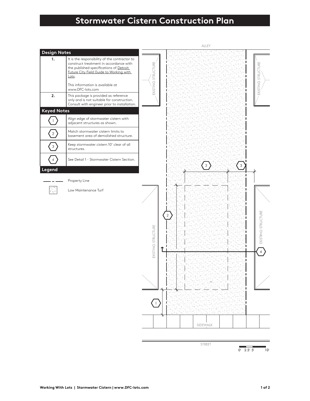## **Stormwater Cistern Construction Plan**



STREET

 $0$  2.5' 5'  $10<sup>1</sup>$